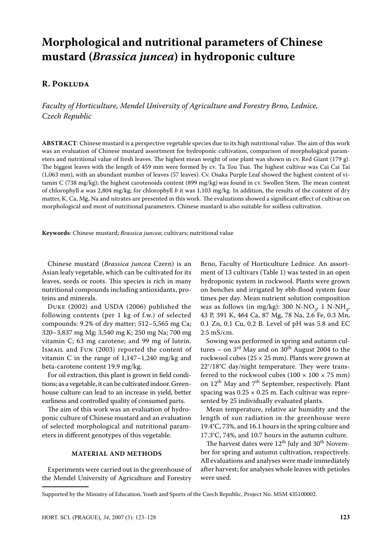# **Morphological and nutritional parameters of Chinese mustard (***Brassica juncea***) in hydroponic culture**

# **R. Pokluda**

*Faculty of Horticulture, Mendel University of Agriculture and Forestry Brno, Lednice, Czech Republic*

**Abstract**: Chinese mustard is a perspective vegetable species due to its high nutritional value. The aim of this work was an evaluation of Chinese mustard assortment for hydroponic cultivation, comparison of morphological parameters and nutritional value of fresh leaves. The highest mean weight of one plant was shown in cv. Red Giant (179 g). The biggest leaves with the length of 459 mm were formed by cv. Ta Tou Tsai. The highest cultivar was Cai Cai Tai (1,063 mm), with an abundant number of leaves (57 leaves). Cv. Osaka Purple Leaf showed the highest content of vitamin C (738 mg/kg); the highest carotenoids content (899 mg/kg) was found in cv. Swollen Stem. The mean content of chlorophyll *a* was 2,804 mg/kg; for chlorophyll *b* it was 1,103 mg/kg. In addition, the results of the content of dry matter, K, Ca, Mg, Na and nitrates are presented in this work. The evaluations showed a significant effect of cultivar on morphological and most of nutritional parameters. Chinese mustard is also suitable for soilless cultivation.

**Keywords**: Chinese mustard; *Brassica juncea*; cultivars; nutritional value

Chinese mustard (*Brassica juncea* Czern) is an Asian leafy vegetable, which can be cultivated for its leaves, seeds or roots. This species is rich in many nutritional compounds including antioxidants, proteins and minerals.

Duke (2002) and USDA (2006) published the following contents (per 1 kg of f.w.) of selected compounds: 9.2% of dry matter; 512–5,565 mg Ca; 320–3,837 mg Mg; 3,540 mg K; 250 mg Na; 700 mg vitamin C; 63 mg carotene; and 99 mg of lutein. Ismail and Fun (2003) reported the content of vitamin C in the range of  $1,147-1,240$  mg/kg and beta-carotene content 19.9 mg/kg.

For oil extraction, this plant is grown in field conditions; as a vegetable, it can be cultivated indoor. Greenhouse culture can lead to an increase in yield, better earliness and controlled quality of consumed parts.

The aim of this work was an evaluation of hydroponic culture of Chinese mustard and an evaluation of selected morphological and nutritional parameters in different genotypes of this vegetable.

# **Material and Methods**

Experiments were carried out in the greenhouse of the Mendel University of Agriculture and Forestry

Brno, Faculty of Horticulture Lednice. An assortment of 13 cultivars (Table 1) was tested in an open hydroponic system in rockwool. Plants were grown on benches and irrigated by ebb-flood system four times per day. Mean nutrient solution composition was as follows (in mg/kg):  $300 \text{ N-NO}_3$ , 1 N-NH<sub>4</sub>, 43 P, 391 K, 464 Ca, 87 Mg, 78 Na, 2.6 Fe, 0.3 Mn, 0.1 Zn, 0.1 Cu, 0.2 B. Level of pH was 5.8 and EC 2.5 mS/cm.

Sowing was performed in spring and autumn cultures – on  $3<sup>rd</sup>$  May and on  $30<sup>th</sup>$  August 2004 to the rockwool cubes ( $25 \times 25$  mm). Plants were grown at 22°/18°C day/night temperature. They were transferred to the rockwool cubes (100  $\times$  100  $\times$  75 mm) on  $12^{th}$  May and  $7^{th}$  September, respectively. Plant spacing was  $0.25 \times 0.25$  m. Each cultivar was represented by 25 individually evaluated plants.

Mean temperature, relative air humidity and the length of sun radiation in the greenhouse were 19.4°C, 73%, and 16.1 hours in the spring culture and 17.3°C, 74%, and 10.7 hours in the autumn culture.

The harvest dates were  $12^{th}$  July and  $30^{th}$  November for spring and autumn cultivation, respectively. All evaluations and analyses were made immediately after harvest; for analyses whole leaves with petioles were used.

Supported by the Ministry of Education, Youth and Sports of the Czech Republic, Project No. MSM 435100002.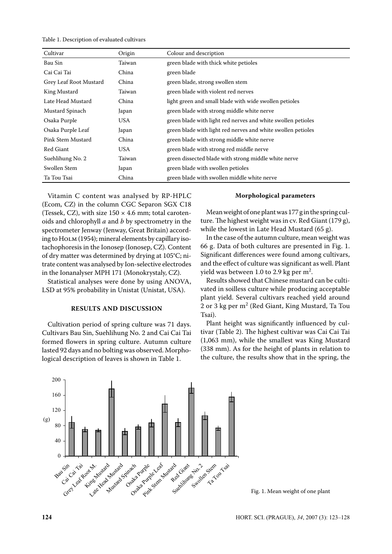Table 1. Description of evaluated cultivars

| Cultivar               | Origin | Colour and description                                       |
|------------------------|--------|--------------------------------------------------------------|
| Bau Sin                | Taiwan | green blade with thick white petioles                        |
| Cai Cai Tai            | China  | green blade                                                  |
| Grey Leaf Root Mustard | China  | green blade, strong swollen stem                             |
| King Mustard           | Taiwan | green blade with violent red nerves                          |
| Late Head Mustard      | China  | light green and small blade with wide swollen petioles       |
| Mustard Spinach        | Japan  | green blade with strong middle white nerve                   |
| Osaka Purple           | USA    | green blade with light red nerves and white swollen petioles |
| Osaka Purple Leaf      | Japan  | green blade with light red nerves and white swollen petioles |
| Pink Stem Mustard      | China  | green blade with strong middle white nerve                   |
| Red Giant              | USA    | green blade with strong red middle nerve                     |
| Suehlihung No. 2       | Taiwan | green dissected blade with strong middle white nerve         |
| Swollen Stem           | Japan  | green blade with swollen petioles                            |
| Ta Tou Tsai            | China  | green blade with swollen middle white nerve                  |

Vitamin C content was analysed by RP-HPLC (Ecom, CZ) in the column CGC Separon SGX C18 (Tessek, CZ), with size  $150 \times 4.6$  mm; total carotenoids and chlorophyll *a* and *b* by spectrometry in the spectrometer Jenway (Jenway, Great Britain) according to НО<sub>LM</sub> (1954); mineral elements by capillary isotachophoresis in the Ionosep (Ionosep, CZ). Content of dry matter was determined by drying at 105°C; nitrate content was analysed by Ion-selective electrodes in the Ionanalyser MPH 171 (Monokrystaly, CZ).

Statistical analyses were done by using ANOVA, LSD at 95% probability in Unistat (Unistat, USA).

# **Results and Discussion**

Cultivation period of spring culture was 71 days. Cultivars Bau Sin, Suehlihung No. 2 and Cai Cai Tai formed flowers in spring culture. Autumn culture lasted 92 days and no bolting was observed. Morphological description of leaves is shown in Table 1.

## **Morphological parameters**

Mean weight of one plant was 177 g in the spring culture. The highest weight was in cv. Red Giant (179 g), while the lowest in Late Head Mustard (65 g).

In the case of the autumn culture, mean weight was 66 g. Data of both cultures are presented in Fig. 1. Significant differences were found among cultivars, and the effect of culture was significant as well. Plant yield was between 1.0 to 2.9 kg per  $m^2$ .

Results showed that Chinese mustard can be cultivated in soilless culture while producing acceptable plant yield. Several cultivars reached yield around 2 or 3 kg per m<sup>2</sup> (Red Giant, King Mustard, Ta Tou Tsai).

Plant height was significantly influenced by cultivar (Table 2). The highest cultivar was Cai Cai Tai (1,063 mm), while the smallest was King Mustard (338 mm). As for the height of plants in relation to the culture, the results show that in the spring, the



Fig. 1. Mean weight of one plant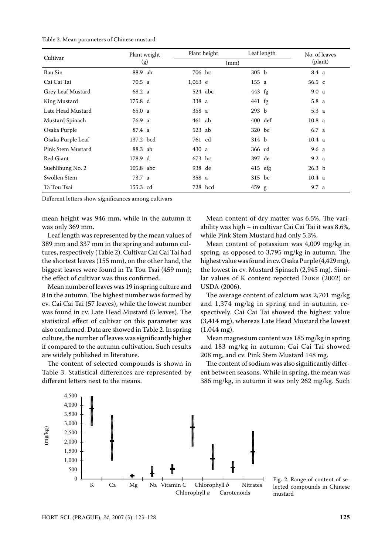#### Table 2. Mean parameters of Chinese mustard

| Cultivar          | Plant weight | Plant height | Leaf length       | No. of leaves     |
|-------------------|--------------|--------------|-------------------|-------------------|
|                   | (g)          | (mm)         |                   | (plant)           |
| Bau Sin           | 88.9 ab      | 706 bc       | 305 <sub>b</sub>  | 8.4 a             |
| Cai Cai Tai       | 70.5 a       | $1,063$ e    | 155 a             | 56.5 с            |
| Grey Leaf Mustard | 68.2 a       | $524$ abc    | $443$ fg          | 9.0a              |
| King Mustard      | 175.8 d      | 338 a        | $441$ fg          | 5.8a              |
| Late Head Mustard | 65.0 a       | 358 a        | 293 b             | 5.3a              |
| Mustard Spinach   | 76.9 a       | 461 ab       | $400 \text{ def}$ | 10.8 <sub>a</sub> |
| Osaka Purple      | 87.4 a       | 523 ab       | 320 bc            | 6.7 a             |
| Osaka Purple Leaf | 137.2 bcd    | 761 cd       | 314 b             | 10.4 <sub>a</sub> |
| Pink Stem Mustard | 88.3 ab      | 430 a        | 366 cd            | 9.6a              |
| Red Giant         | 178.9 d      | 673 bc       | 397 de            | 9.2 <sub>a</sub>  |
| Suehlihung No. 2  | 105.8 abc    | 938 de       | $415$ efg         | 26.3 <sub>b</sub> |
| Swollen Stem      | 73.7 a       | 358 a        | 315 bc            | 10.4 a            |
| Ta Tou Tsai       | 155.3 cd     | 728 bcd      | 459 g             | 9.7 a             |

Different letters show significances among cultivars

mean height was 946 mm, while in the autumn it was only 369 mm.

Leaf length was represented by the mean values of 389 mm and 337 mm in the spring and autumn cultures, respectively (Table 2). Cultivar Cai Cai Tai had the shortest leaves (155 mm), on the other hand, the biggest leaves were found in Ta Tou Tsai (459 mm); the effect of cultivar was thus confirmed.

Mean number of leaves was 19 in spring culture and 8 in the autumn. The highest number was formed by cv. Cai Cai Tai (57 leaves), while the lowest number was found in cv. Late Head Mustard (5 leaves). The statistical effect of cultivar on this parameter was also confirmed. Data are showed in Table 2. In spring culture, the number of leaves was significantly higher if compared to the autumn cultivation. Such results are widely published in literature.

The content of selected compounds is shown in Table 3. Statistical differences are represented by different letters next to the means.

Mean content of dry matter was 6.5%. The variability was high – in cultivar Cai Cai Tai it was 8.6%, while Pink Stem Mustard had only 5.3%.

Mean content of potassium was 4,009 mg/kg in spring, as opposed to 3,795 mg/kg in autumn. The highest value was found in cv. Osaka Purple (4,429 mg), the lowest in cv. Mustard Spinach (2,945 mg). Similar values of K content reported Duke (2002) or USDA (2006).

The average content of calcium was 2,701 mg/kg and 1,374 mg/kg in spring and in autumn, respectively. Cai Cai Tai showed the highest value (3,414 mg), whereas Late Head Mustard the lowest (1,044 mg).

Mean magnesium content was 185 mg/kg in spring and 183 mg/kg in autumn; Cai Cai Tai showed 208 mg, and cv. Pink Stem Mustard 148 mg.

The content of sodium was also significantly different between seasons. While in spring, the mean was 386 mg/kg, in autumn it was only 262 mg/kg. Such



Fig. 2. Range of content of selected compounds in Chinese mustard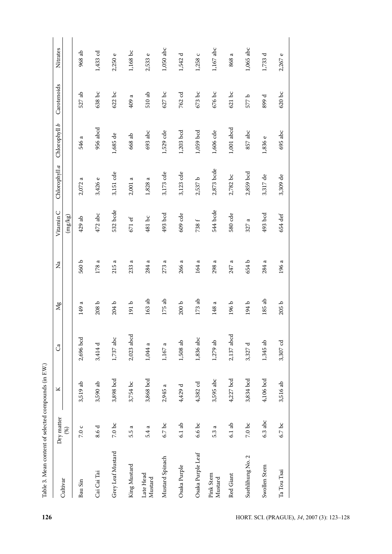| the contract of the contract of the contract of the contract of the contract of the contract of the contract of the contract of the contract of the contract of the contract of the contract of the contract of the contract o |                                 |           |            |                    |          |               |               |                 |             |                          |
|--------------------------------------------------------------------------------------------------------------------------------------------------------------------------------------------------------------------------------|---------------------------------|-----------|------------|--------------------|----------|---------------|---------------|-----------------|-------------|--------------------------|
| Cultivar                                                                                                                                                                                                                       | Dry matter                      | ×         | Ca         | Mg                 | Ž        | Vitamin C     | Chlorophyll a | Chlorophyll $b$ | Carotenoids | Nitrates                 |
|                                                                                                                                                                                                                                | (%)                             |           |            |                    |          | $\rm (mg/kg)$ |               |                 |             |                          |
| Bau Sin                                                                                                                                                                                                                        | 7.0 c                           | 3,519 ab  | 2,696 bcd  | ದ<br>149           | 560 b    | 429 ab        | ದ<br>2,072:   | ದ<br>546        | ු<br>527    | 968 ab                   |
| Cai Cai Tai                                                                                                                                                                                                                    | 8.6 d                           | 3,590 ab  | 3,414 d    | 208 b              | 178 a    | 472 abc       | 3,426 e       | 956 abcd        | 638 bc      | 1,433 cd                 |
| Grey Leaf Mustard                                                                                                                                                                                                              | $7.0\,\ensuremath{\, {\rm bc}}$ | 3,898 bcd | 1,737 abc  | 204 b              | ಥ<br>215 | 532 bcde      | 3,151 cde     | 1,685 de        | $622$ bc    | $\mathbb O$<br>2,250     |
| King Mustard                                                                                                                                                                                                                   | 5.5 a                           | 3,754 bc  | 2,023 abcd | 191b               | ದ<br>233 | $671$ ef      | 2,001a        | 668 ab          | ದ<br>409    | 1,168 bc                 |
| Late Head<br>Mustard                                                                                                                                                                                                           | 5.4 a                           | 3,868 bcd | 1,044 a    | $163$ ab           | a<br>284 | 481 bc        | 1,828 a       | 693 abc         | $510$ ab    | $\mathbbmss{C}$<br>2,533 |
| Mustard Spinach                                                                                                                                                                                                                | $6.7$ bc                        | 2,945 a   | 1,167 a    | 175 ab             | ದ<br>273 | 493 bcd       | 3,173 cde     | 1,529 cde       | $627$ bc    | 1,050 abc                |
| Osaka Purple                                                                                                                                                                                                                   | $6.1$ ab                        | 4,429 d   | 1,508 ab   | 200 b              | ದ<br>266 | 609 cde       | 3,123 cde     | 1,203 bcd       | 762 cd      | ರ<br>1,542               |
| Osaka Purple Leaf                                                                                                                                                                                                              | $6.6\;\mathrm{bc}$              | 4,382 cd  | 1,836 abc  | $173\ \mathrm{ab}$ | a<br>164 | 738 f         | 2,537 b       | 1,059 bcd       | $673$ bc    | $\circ$<br>1,258         |
| Pink Stem<br>Mustard                                                                                                                                                                                                           | 5.3 a                           | 3,595 abc | $1,279$ ab | ದ<br>148           | ದ<br>298 | 544 bcde      | 2,873 bcde    | 1,606 cde       | $676$ bc    | 1,167 abc                |
| Red Giant                                                                                                                                                                                                                      | $6.1$ ab                        | 4,227 bcd | 2,137 abcd | 196 b              | ದ<br>247 | 580 cde       | 2,782 bc      | 1,001 abcd      | $621$ bc    | a<br>868                 |
| Suehlihung No. 2                                                                                                                                                                                                               | $7.0\,\ensuremath{\, {\rm bc}}$ | 3,834 bcd | 3,327 d    | 194 b              | 654 b    | a<br>327      | 2,859 bcd     | 857 abc         | 577 b       | 1,065 abc                |
| Swollen Stem                                                                                                                                                                                                                   | $6.3$ abc                       | 4,106 bcd | 1,345 ab   | 185 ab             | 284 a    | 493 bcd       | 3,317 de      | 1,836 e         | 899 d       | 1,733 d                  |
|                                                                                                                                                                                                                                |                                 |           |            |                    |          |               |               |                 |             |                          |

Table 3. Mean content of selected compounds (in F.W.)

2,267 e

 $620~{\rm bc}$ 

695 abc

3,309 de

654 def

196 a

 $205\,\mathrm{b}$ 

3,307 cd

3,516 ab

 $6.7~\rm{bc}$ 

 $\rm Ta$ Tou $\rm Tsai$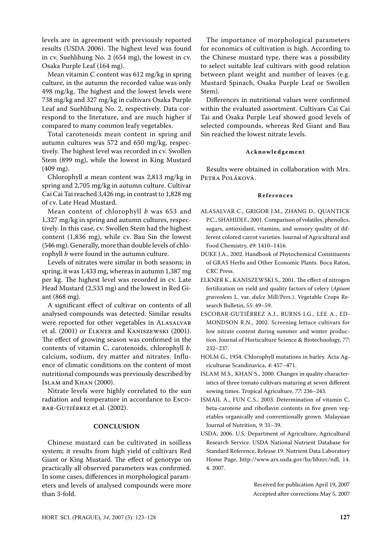levels are in agreement with previously reported results (USDA 2006). The highest level was found in cv. Suehlihung No. 2 (654 mg), the lowest in cv. Osaka Purple Leaf (164 mg).

Mean vitamin C content was 612 mg/kg in spring culture, in the autumn the recorded value was only 498 mg/kg. The highest and the lowest levels were 738 mg/kg and 327 mg/kg in cultivars Osaka Purple Leaf and Suehlihung No. 2, respectively. Data correspond to the literature, and are much higher if compared to many common leafy vegetables.

Total carotenoids mean content in spring and autumn cultures was 572 and 650 mg/kg, respectively. The highest level was recorded in cv. Swollen Stem (899 mg), while the lowest in King Mustard (409 mg).

Chlorophyll *a* mean content was 2,813 mg/kg in spring and 2,705 mg/kg in autumn culture. Cultivar Cai Cai Tai reached 3,426 mg, in contrast to 1,828 mg of cv. Late Head Mustard.

Mean content of chlorophyll *b* was 653 and 1,327 mg/kg in spring and autumn cultures, respectively. In this case, cv. Swollen Stem had the highest content (1,836 mg), while cv. Bau Sin the lowest (546 mg). Generally, more than double levels of chlorophyll *b* were found in the autumn culture.

Levels of nitrates were similar in both seasons; in spring, it was 1,433 mg, whereas in autumn 1,387 mg per kg. The highest level was recorded in cv. Late Head Mustard (2,533 mg) and the lowest in Red Giant (868 mg).

A significant effect of cultivar on contents of all analysed compounds was detected. Similar results were reported for other vegetables in Alasalvar et al. (2001) or Elkner and Kaniszewski (2001). The effect of growing season was confirmed in the contents of vitamin C, carotenoids, chlorophyll *b*, calcium, sodium, dry matter and nitrates. Influence of climatic conditions on the content of most nutritional compounds was previously described by Islam and Khan (2000).

Nitrate levels were highly correlated to the sun radiation and temperature in accordance to Escobar-Gutiérrez et al. (2002).

#### **Conclusion**

Chinese mustard can be cultivated in soilless system; it results from high yield of cultivars Red Giant or King Mustard. The effect of genotype on practically all observed parameters was confirmed. In some cases, differences in morphological parameters and levels of analysed compounds were more than 3-fold.

The importance of morphological parameters for economics of cultivation is high. According to the Chinese mustard type, there was a possibility to select suitable leaf cultivars with good relation between plant weight and number of leaves (e.g. Mustard Spinach, Osaka Purple Leaf or Swollen Stem).

Differences in nutritional values were confirmed within the evaluated assortment. Cultivars Cai Cai Tai and Osaka Purple Leaf showed good levels of selected compounds, whereas Red Giant and Bau Sin reached the lowest nitrate levels.

## **Ac k n o w l e d g e m e n t**

Results were obtained in collaboration with Mrs. Petra Poláková.

## **Re f e r e n c e s**

- ALASALVAR C., GRIGOR J.M., ZHANG D., QUANTICK P.C., SHAHIDI F., 2001. Comparison of volatiles, phenolics, sugars, antioxidant, vitamins, and sensory quality of different colored carrot varieties. Journal of Agricultural and Food Chemistry, *49*: 1410–1416.
- DUKE J.A., 2002. Handbook of Phytochemical Constituents of GRAS Herbs and Other Economic Plants. Boca Raton, CRC Press.
- ELKNER K., KANISZEWSKI S., 2001. The effect of nitrogen fertilization on yield and quality factors of celery (*Apium graveolens* L. var. *dulce* Mill/Pers.). Vegetable Crops Research Bulletin, *55*: 49–59.
- ESCOBAR-GUTIÉRREZ A.J., BURNS I.G., LEE A., ED-MONDSON R.N., 2002. Screening lettuce cultivars for low nitrate content during summer and winter production. Journal of Horticulture Science & Biotechnology, *77*: 232–237.
- HOLM G., 1954. Chlorophyll mutations in barley. Acta Agriculturae Scandinavica, *4*: 457–471.
- ISLAM M.S., KHAN S., 2000. Changes in quality characteristics of three tomato cultivars maturing at seven different sowing times. Tropical Agriculture, *77*: 236–243.
- ISMAIL A., FUN C.S., 2003. Determination of vitamin C, beta-carotene and riboflavin contents in five green vegetables organically and conventionally grown. Malaysian Journal of Nutrition, *9*: 31–39.
- USDA, 2006. U.S. Department of Agriculture, Agricultural Research Service. USDA National Nutrient Database for Standard Reference, Release 19. Nutrient Data Laboratory Home Page, http://www.ars.usda.gov/ba/bhnrc/ndl, 14. 4. 2007.

Received for publication April 19, 2007 Accepted after corrections May 5, 2007